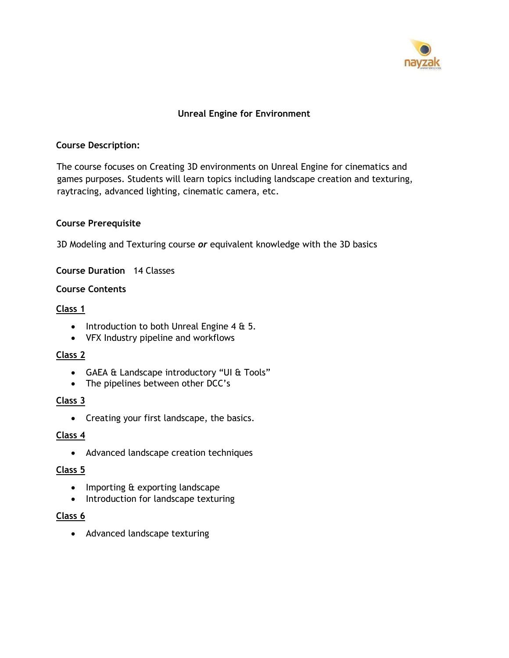

## **Unreal Engine for Environment**

#### **Course Description:**

The course focuses on Creating 3D environments on Unreal Engine for cinematics and games purposes. Students will learn topics including landscape creation and texturing, raytracing, advanced lighting, cinematic camera, etc.

#### **Course Prerequisite**

3D Modeling and Texturing course *or* equivalent knowledge with the 3D basics

**Course Duration** 14 Classes

### **Course Contents**

#### **Class 1**

- Introduction to both Unreal Engine 4 & 5.
- VFX Industry pipeline and workflows

#### **Class 2**

- GAEA & Landscape introductory "UI & Tools"
- The pipelines between other DCC's

### **Class 3**

• Creating your first landscape, the basics.

### **Class 4**

• Advanced landscape creation techniques

### **Class 5**

- Importing & exporting landscape
- Introduction for landscape texturing

### **Class 6**

• Advanced landscape texturing